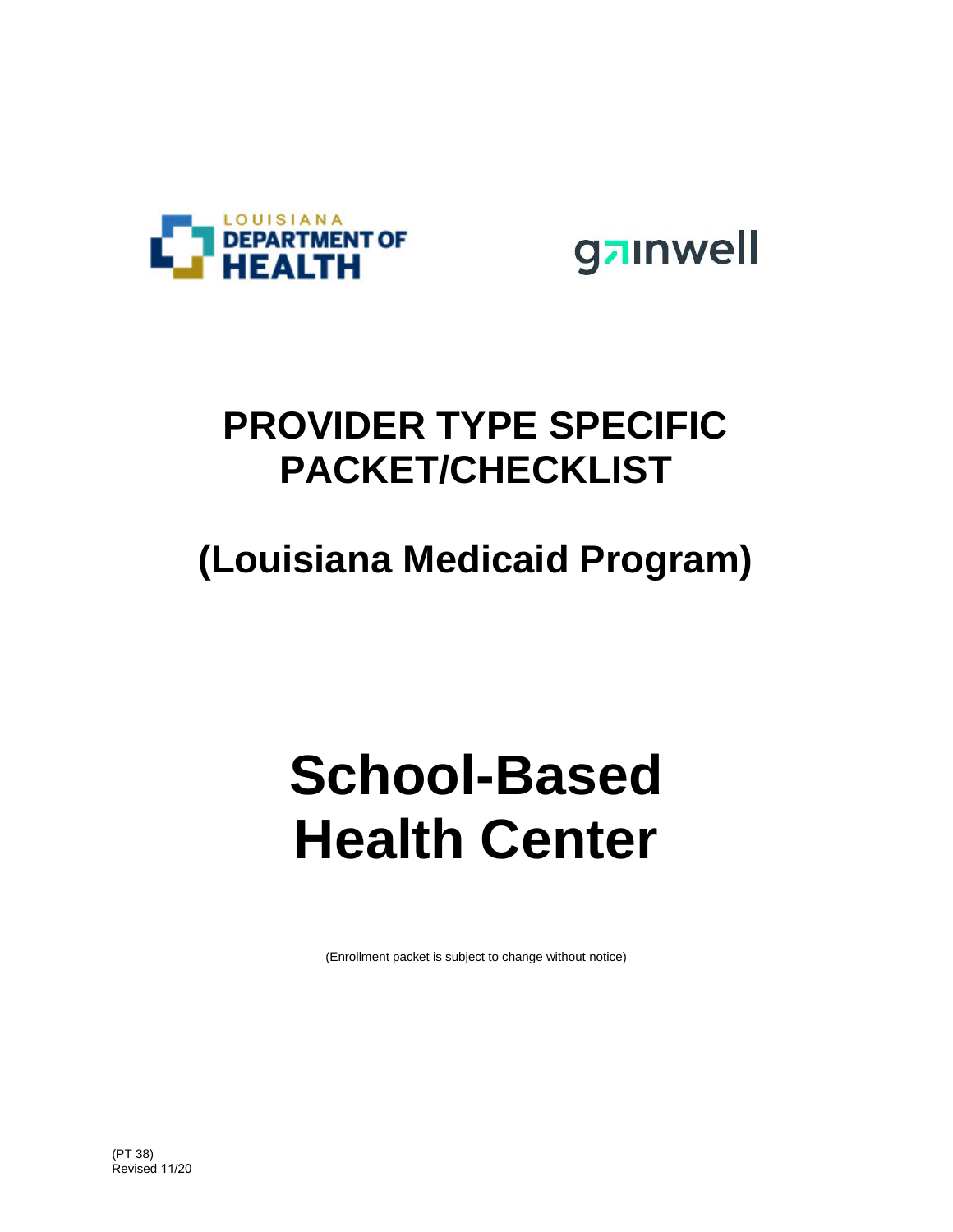

gainwell

# **PROVIDER TYPE SPECIFIC PACKET/CHECKLIST**

# **(Louisiana Medicaid Program)**

# **School-Based Health Center**

(Enrollment packet is subject to change without notice)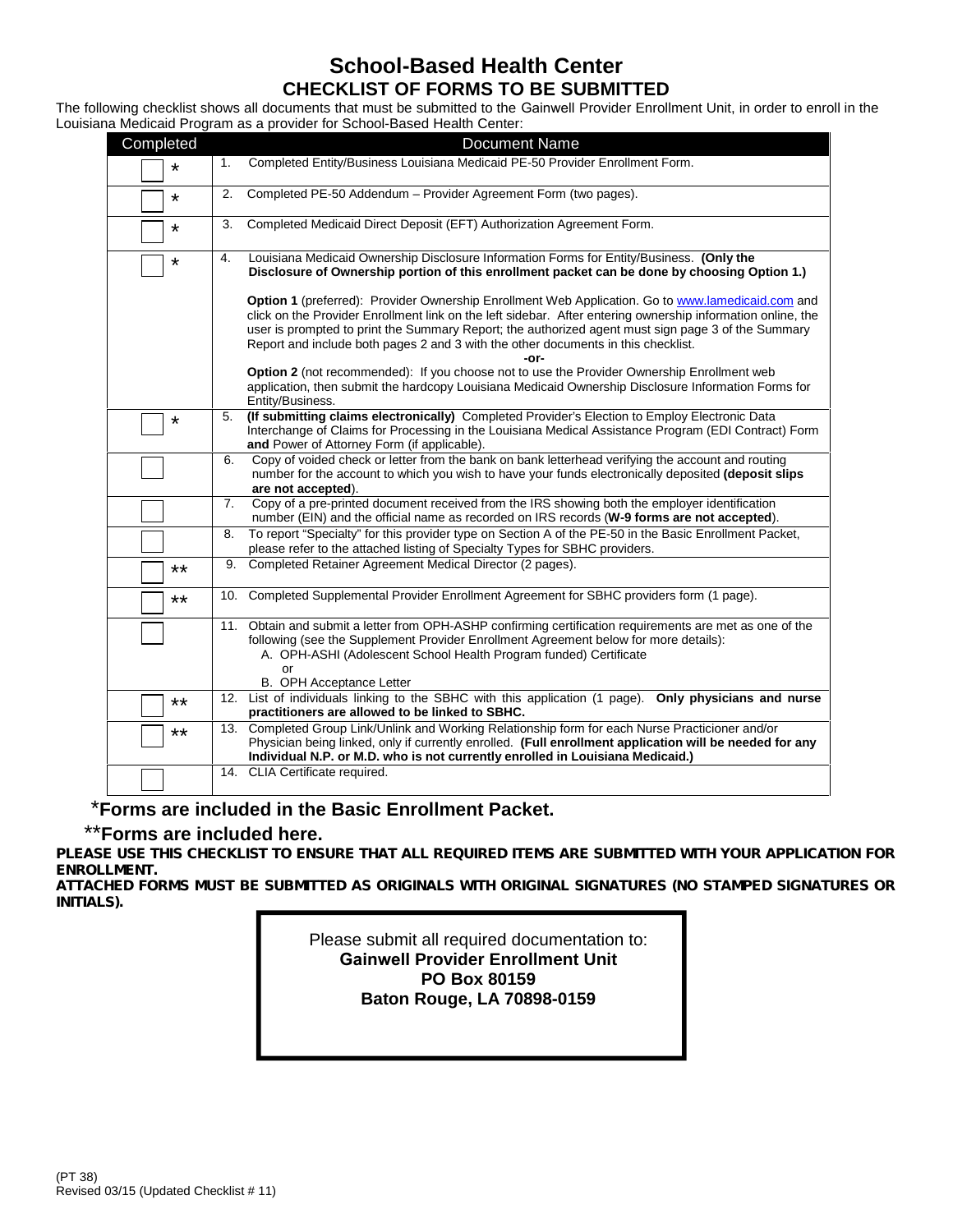#### **School-Based Health Center CHECKLIST OF FORMS TO BE SUBMITTED**

The following checklist shows all documents that must be submitted to the Gainwell Provider Enrollment Unit, in order to enroll in the Louisiana Medicaid Program as a provider for School-Based Health Center:

| Completed | <b>Document Name</b>                                                                                                                                                                                                                                                                                                                                                                                                |
|-----------|---------------------------------------------------------------------------------------------------------------------------------------------------------------------------------------------------------------------------------------------------------------------------------------------------------------------------------------------------------------------------------------------------------------------|
| $\star$   | Completed Entity/Business Louisiana Medicaid PE-50 Provider Enrollment Form.<br>1.                                                                                                                                                                                                                                                                                                                                  |
| *         | 2.<br>Completed PE-50 Addendum - Provider Agreement Form (two pages).                                                                                                                                                                                                                                                                                                                                               |
| $\star$   | Completed Medicaid Direct Deposit (EFT) Authorization Agreement Form.<br>3.                                                                                                                                                                                                                                                                                                                                         |
| $\star$   | Louisiana Medicaid Ownership Disclosure Information Forms for Entity/Business. (Only the<br>4.<br>Disclosure of Ownership portion of this enrollment packet can be done by choosing Option 1.)                                                                                                                                                                                                                      |
|           | Option 1 (preferred): Provider Ownership Enrollment Web Application. Go to www.lamedicaid.com and<br>click on the Provider Enrollment link on the left sidebar. After entering ownership information online, the<br>user is prompted to print the Summary Report; the authorized agent must sign page 3 of the Summary<br>Report and include both pages 2 and 3 with the other documents in this checklist.<br>-or- |
|           | Option 2 (not recommended): If you choose not to use the Provider Ownership Enrollment web<br>application, then submit the hardcopy Louisiana Medicaid Ownership Disclosure Information Forms for<br>Entity/Business.                                                                                                                                                                                               |
| *         | (If submitting claims electronically) Completed Provider's Election to Employ Electronic Data<br>5.<br>Interchange of Claims for Processing in the Louisiana Medical Assistance Program (EDI Contract) Form<br>and Power of Attorney Form (if applicable).                                                                                                                                                          |
|           | Copy of voided check or letter from the bank on bank letterhead verifying the account and routing<br>6.<br>number for the account to which you wish to have your funds electronically deposited (deposit slips<br>are not accepted).                                                                                                                                                                                |
|           | Copy of a pre-printed document received from the IRS showing both the employer identification<br>7.<br>number (EIN) and the official name as recorded on IRS records (W-9 forms are not accepted).                                                                                                                                                                                                                  |
|           | To report "Specialty" for this provider type on Section A of the PE-50 in the Basic Enrollment Packet,<br>8.<br>please refer to the attached listing of Specialty Types for SBHC providers.                                                                                                                                                                                                                         |
| $***$     | Completed Retainer Agreement Medical Director (2 pages).<br>9.                                                                                                                                                                                                                                                                                                                                                      |
| $***$     | 10. Completed Supplemental Provider Enrollment Agreement for SBHC providers form (1 page).                                                                                                                                                                                                                                                                                                                          |
|           | 11. Obtain and submit a letter from OPH-ASHP confirming certification requirements are met as one of the<br>following (see the Supplement Provider Enrollment Agreement below for more details):<br>A. OPH-ASHI (Adolescent School Health Program funded) Certificate<br>or<br><b>B.</b> OPH Acceptance Letter                                                                                                      |
| $***$     | List of individuals linking to the SBHC with this application (1 page). Only physicians and nurse<br>12.<br>practitioners are allowed to be linked to SBHC.                                                                                                                                                                                                                                                         |
| **        | 13. Completed Group Link/Unlink and Working Relationship form for each Nurse Practicioner and/or<br>Physician being linked, only if currently enrolled. (Full enrollment application will be needed for any<br>Individual N.P. or M.D. who is not currently enrolled in Louisiana Medicaid.)                                                                                                                        |
|           | 14. CLIA Certificate required.                                                                                                                                                                                                                                                                                                                                                                                      |

#### \***Forms are included in the Basic Enrollment Packet.**

#### \*\***Forms are included here.**

*PLEASE USE THIS CHECKLIST TO ENSURE THAT ALL REQUIRED ITEMS ARE SUBMITTED WITH YOUR APPLICATION FOR ENROLLMENT.*

*ATTACHED FORMS MUST BE SUBMITTED AS ORIGINALS WITH ORIGINAL SIGNATURES (NO STAMPED SIGNATURES OR INITIALS).*

> Please submit all required documentation to: **Gainwell Provider Enrollment Unit PO Box 80159 Baton Rouge, LA 70898-0159**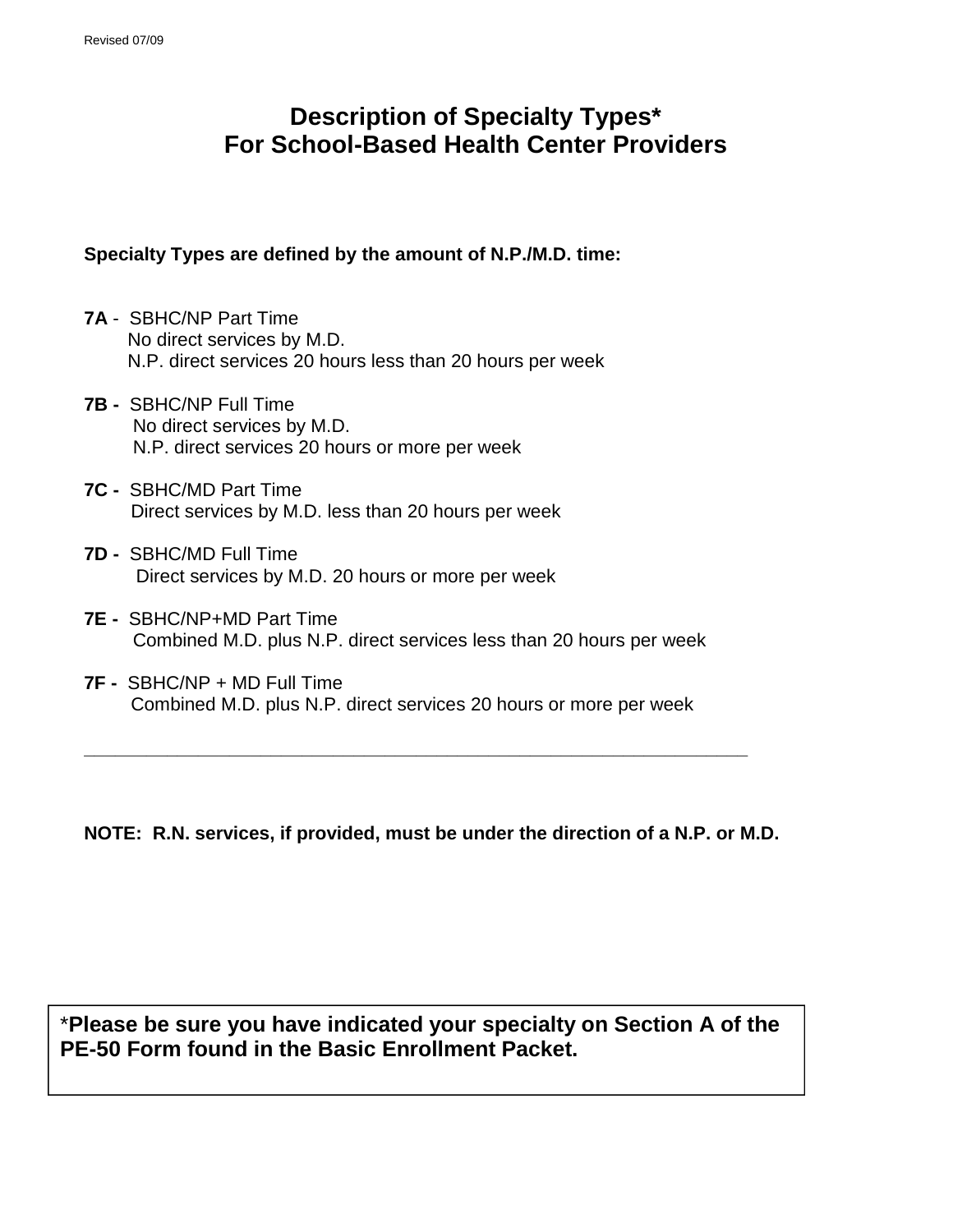## **Description of Specialty Types\* For School-Based Health Center Providers**

#### **Specialty Types are defined by the amount of N.P./M.D. time:**

- **7A** SBHC/NP Part Time No direct services by M.D. N.P. direct services 20 hours less than 20 hours per week
- **7B -** SBHC/NP Full Time No direct services by M.D. N.P. direct services 20 hours or more per week
- **7C -** SBHC/MD Part Time Direct services by M.D. less than 20 hours per week
- **7D -** SBHC/MD Full Time Direct services by M.D. 20 hours or more per week
- **7E -** SBHC/NP+MD Part Time Combined M.D. plus N.P. direct services less than 20 hours per week
- **7F -** SBHC/NP + MD Full Time Combined M.D. plus N.P. direct services 20 hours or more per week

**NOTE: R.N. services, if provided, must be under the direction of a N.P. or M.D.**

**\_\_\_\_\_\_\_\_\_\_\_\_\_\_\_\_\_\_\_\_\_\_\_\_\_\_\_\_\_\_\_\_\_\_\_\_\_\_\_\_\_\_\_\_\_\_\_\_\_\_\_\_\_\_\_\_\_\_\_\_\_\_\_\_**

\***Please be sure you have indicated your specialty on Section A of the PE-50 Form found in the Basic Enrollment Packet.**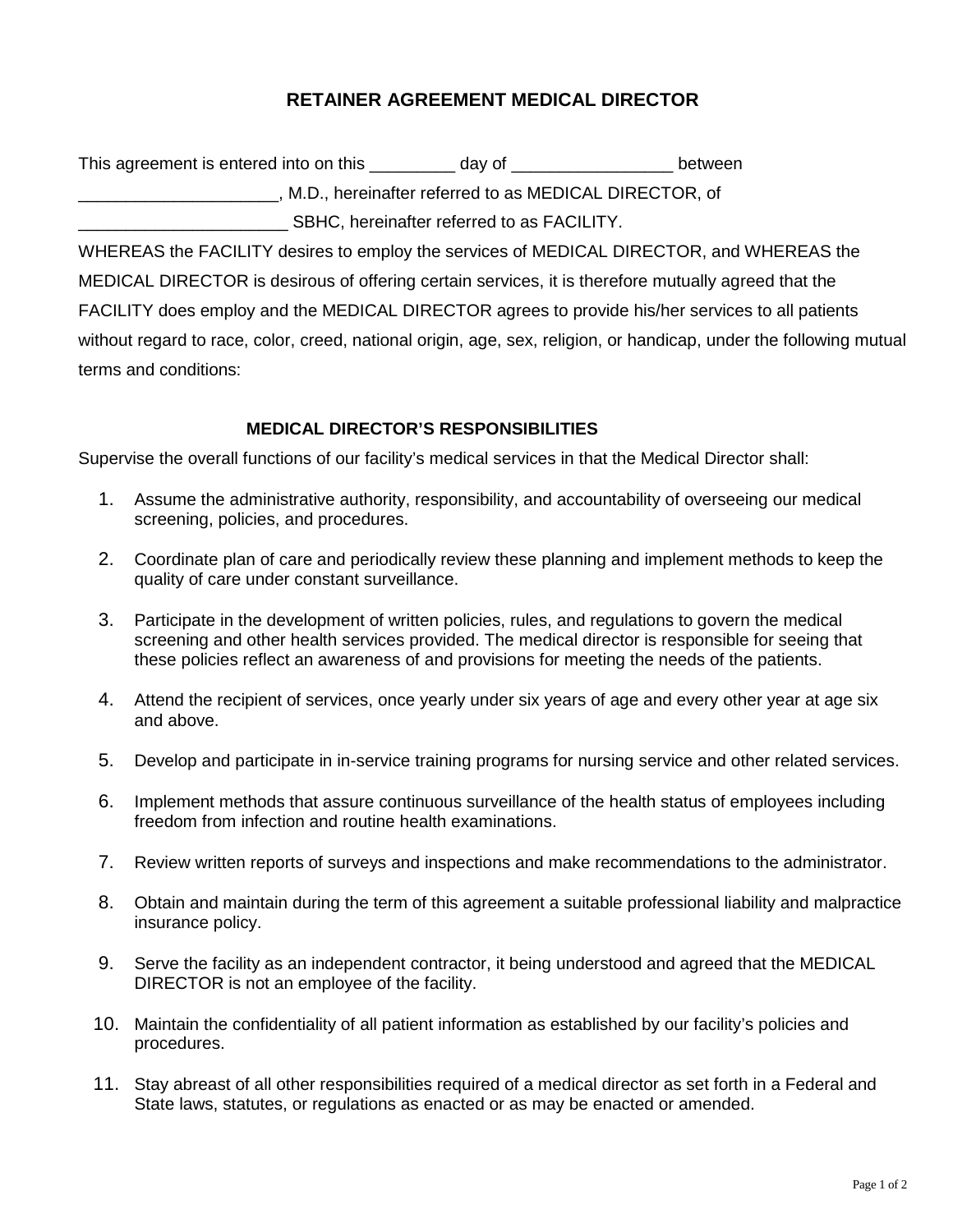#### **RETAINER AGREEMENT MEDICAL DIRECTOR**

This agreement is entered into on this and  $\frac{dy}{dx}$  day of  $\frac{dy}{dx}$  between \_\_\_\_\_\_\_\_\_\_\_\_\_\_\_\_\_\_\_\_\_, M.D., hereinafter referred to as MEDICAL DIRECTOR, of \_\_\_\_\_\_\_\_\_\_\_\_\_\_\_\_\_\_\_\_\_\_ SBHC, hereinafter referred to as FACILITY.

WHEREAS the FACILITY desires to employ the services of MEDICAL DIRECTOR, and WHEREAS the MEDICAL DIRECTOR is desirous of offering certain services, it is therefore mutually agreed that the FACILITY does employ and the MEDICAL DIRECTOR agrees to provide his/her services to all patients without regard to race, color, creed, national origin, age, sex, religion, or handicap, under the following mutual terms and conditions:

#### **MEDICAL DIRECTOR'S RESPONSIBILITIES**

Supervise the overall functions of our facility's medical services in that the Medical Director shall:

- 1. Assume the administrative authority, responsibility, and accountability of overseeing our medical screening, policies, and procedures.
- 2. Coordinate plan of care and periodically review these planning and implement methods to keep the quality of care under constant surveillance.
- 3. Participate in the development of written policies, rules, and regulations to govern the medical screening and other health services provided. The medical director is responsible for seeing that these policies reflect an awareness of and provisions for meeting the needs of the patients.
- 4. Attend the recipient of services, once yearly under six years of age and every other year at age six and above.
- 5. Develop and participate in in-service training programs for nursing service and other related services.
- 6. Implement methods that assure continuous surveillance of the health status of employees including freedom from infection and routine health examinations.
- 7. Review written reports of surveys and inspections and make recommendations to the administrator.
- 8. Obtain and maintain during the term of this agreement a suitable professional liability and malpractice insurance policy.
- 9. Serve the facility as an independent contractor, it being understood and agreed that the MEDICAL DIRECTOR is not an employee of the facility.
- 10. Maintain the confidentiality of all patient information as established by our facility's policies and procedures.
- 11. Stay abreast of all other responsibilities required of a medical director as set forth in a Federal and State laws, statutes, or regulations as enacted or as may be enacted or amended.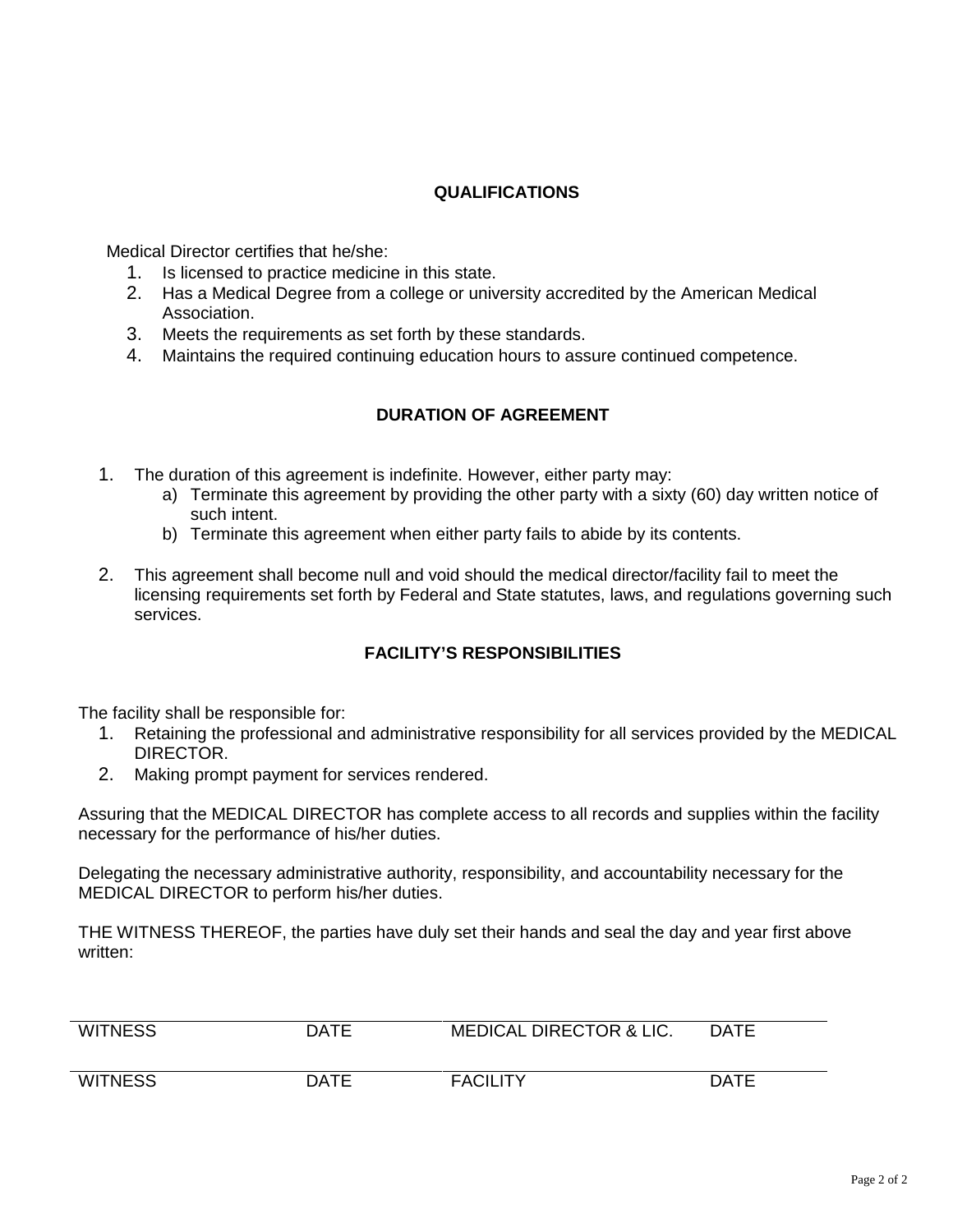#### **QUALIFICATIONS**

Medical Director certifies that he/she:

- 1. Is licensed to practice medicine in this state.
- 2. Has a Medical Degree from a college or university accredited by the American Medical Association.
- 3. Meets the requirements as set forth by these standards.
- 4. Maintains the required continuing education hours to assure continued competence.

#### **DURATION OF AGREEMENT**

- 1. The duration of this agreement is indefinite. However, either party may:
	- a) Terminate this agreement by providing the other party with a sixty (60) day written notice of such intent.
	- b) Terminate this agreement when either party fails to abide by its contents.
- 2. This agreement shall become null and void should the medical director/facility fail to meet the licensing requirements set forth by Federal and State statutes, laws, and regulations governing such services.

#### **FACILITY'S RESPONSIBILITIES**

The facility shall be responsible for:

- 1. Retaining the professional and administrative responsibility for all services provided by the MEDICAL DIRECTOR.
- 2. Making prompt payment for services rendered.

Assuring that the MEDICAL DIRECTOR has complete access to all records and supplies within the facility necessary for the performance of his/her duties.

Delegating the necessary administrative authority, responsibility, and accountability necessary for the MEDICAL DIRECTOR to perform his/her duties.

THE WITNESS THEREOF, the parties have duly set their hands and seal the day and year first above written:

| <b>WITNESS</b> | <b>DATE</b> | <b>MEDICAL DIRECTOR &amp; LIC.</b> | <b>DATE</b> |
|----------------|-------------|------------------------------------|-------------|
| <b>WITNESS</b> | <b>DATE</b> | <b>FACILITY</b>                    | <b>DATE</b> |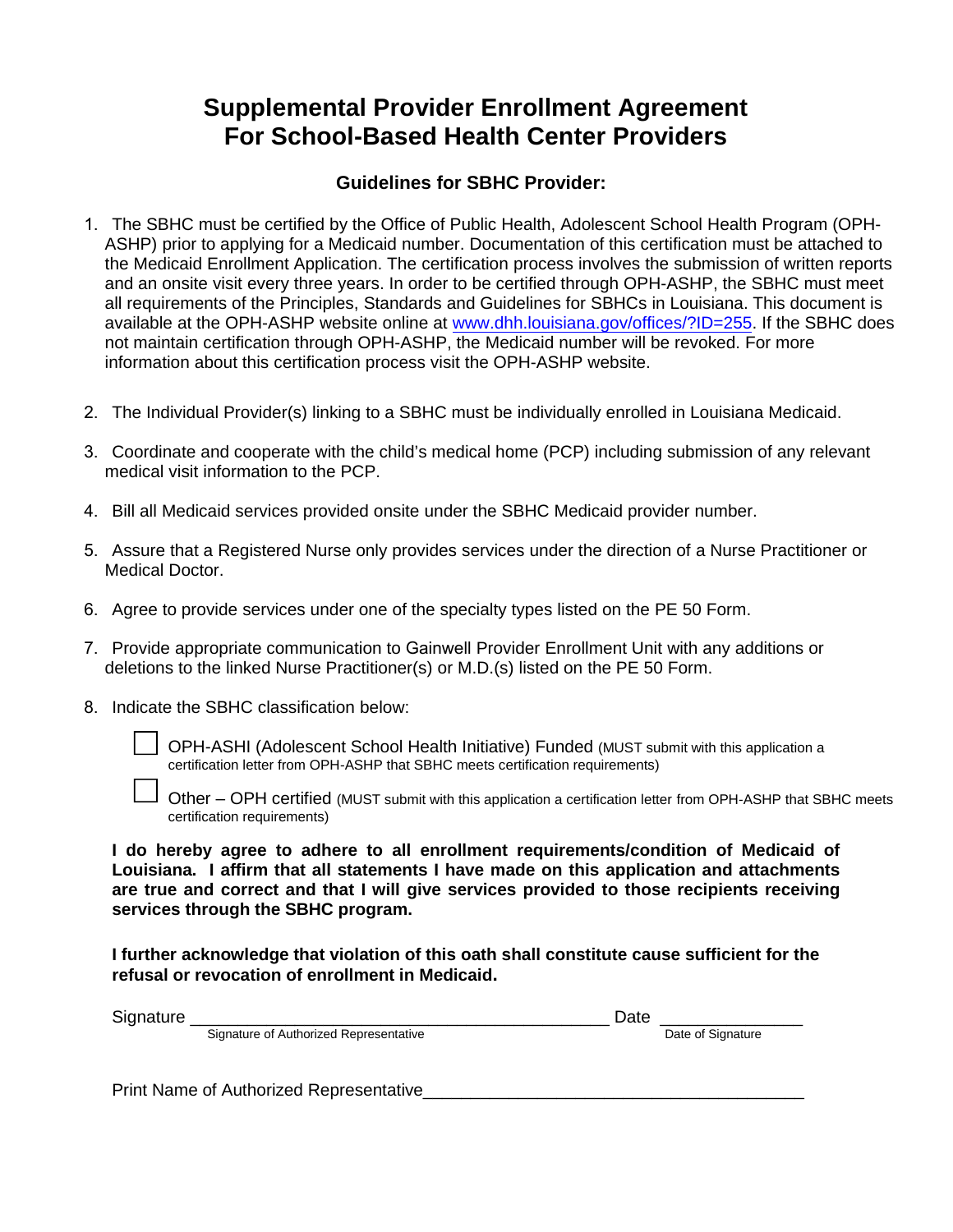### **Supplemental Provider Enrollment Agreement For School-Based Health Center Providers**

#### **Guidelines for SBHC Provider:**

- 1. The SBHC must be certified by the Office of Public Health, Adolescent School Health Program (OPH-ASHP) prior to applying for a Medicaid number. Documentation of this certification must be attached to the Medicaid Enrollment Application. The certification process involves the submission of written reports and an onsite visit every three years. In order to be certified through OPH-ASHP, the SBHC must meet all requirements of the Principles, Standards and Guidelines for SBHCs in Louisiana. This document is available at the OPH-ASHP website online at www.dhh.louisiana.gov/offices/?ID=255. If the SBHC does not maintain certification through OPH-ASHP, the Medicaid number will be revoked. For more information about this certification process visit the OPH-ASHP website.
- 2. The Individual Provider(s) linking to a SBHC must be individually enrolled in Louisiana Medicaid.
- 3. Coordinate and cooperate with the child's medical home (PCP) including submission of any relevant medical visit information to the PCP.
- 4. Bill all Medicaid services provided onsite under the SBHC Medicaid provider number.
- 5. Assure that a Registered Nurse only provides services under the direction of a Nurse Practitioner or Medical Doctor.
- 6. Agree to provide services under one of the specialty types listed on the PE 50 Form.
- 7. Provide appropriate communication to Gainwell Provider Enrollment Unit with any additions or deletions to the linked Nurse Practitioner(s) or M.D.(s) listed on the PE 50 Form.
- 8. Indicate the SBHC classification below:

OPH-ASHI (Adolescent School Health Initiative) Funded (MUST submit with this application a certification letter from OPH-ASHP that SBHC meets certification requirements)

Other – OPH certified (MUST submit with this application a certification letter from OPH-ASHP that SBHC meets certification requirements)

**I do hereby agree to adhere to all enrollment requirements/condition of Medicaid of Louisiana. I affirm that all statements I have made on this application and attachments are true and correct and that I will give services provided to those recipients receiving services through the SBHC program.**

**I further acknowledge that violation of this oath shall constitute cause sufficient for the refusal or revocation of enrollment in Medicaid.**

| $\sim$<br>זור. |                                             | ີ |                   |
|----------------|---------------------------------------------|---|-------------------|
|                | Signature of Authorized<br>l Representative |   | Date<br>Signature |

Print Name of Authorized Representative\_\_\_\_\_\_\_\_\_\_\_\_\_\_\_\_\_\_\_\_\_\_\_\_\_\_\_\_\_\_\_\_\_\_\_\_\_\_\_\_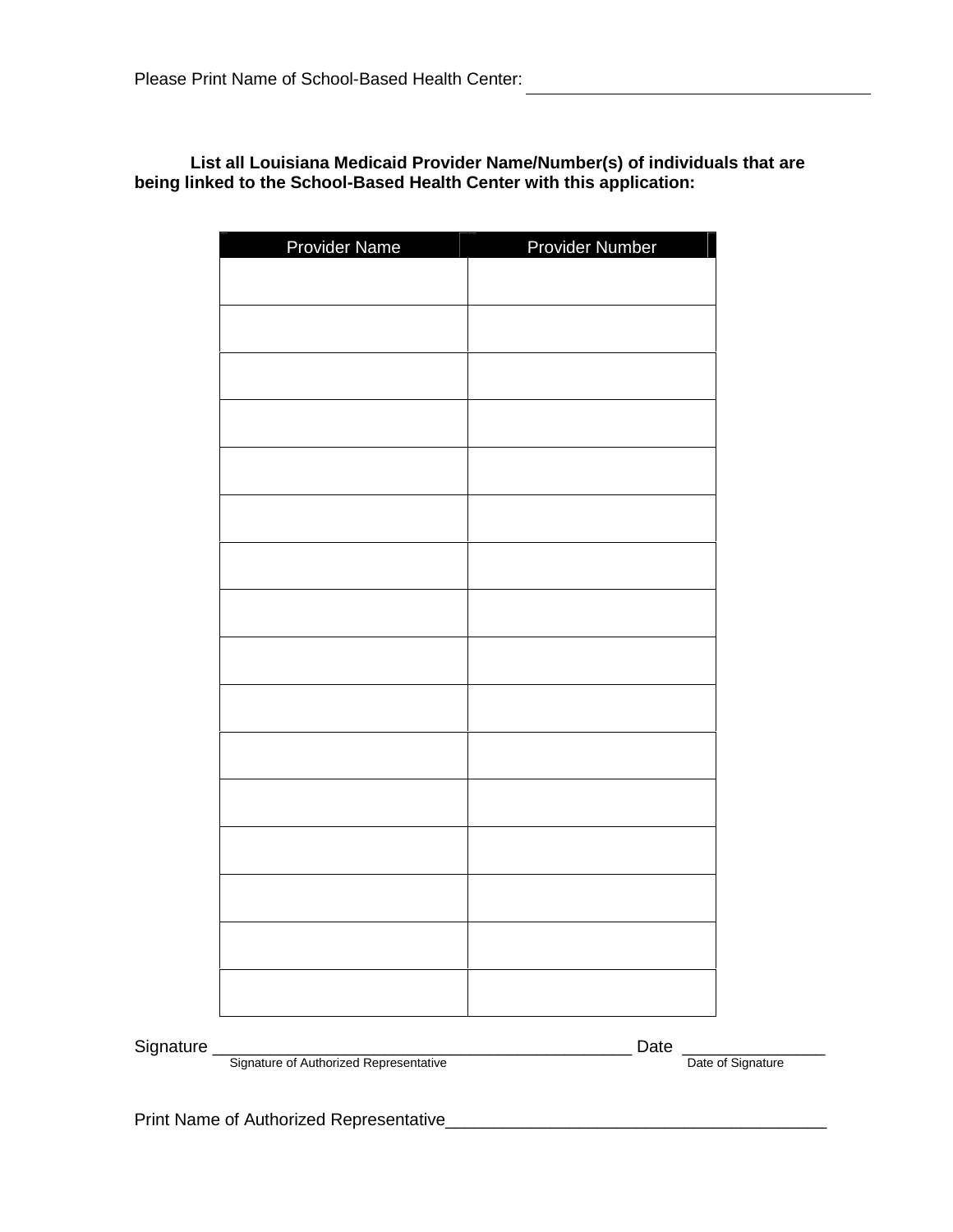#### **List all Louisiana Medicaid Provider Name/Number(s) of individuals that are being linked to the School-Based Health Center with this application:**

| Provider Name | Provider Number |
|---------------|-----------------|
|               |                 |
|               |                 |
|               |                 |
|               |                 |
|               |                 |
|               |                 |
|               |                 |
|               |                 |
|               |                 |
|               |                 |
|               |                 |
|               |                 |
|               |                 |
|               |                 |
|               |                 |
|               |                 |
|               |                 |

Signature \_\_\_\_\_\_\_\_\_\_\_\_\_\_\_\_\_\_\_\_\_\_\_\_\_\_\_\_\_\_\_\_\_\_\_\_\_\_\_\_\_\_\_\_ Date \_\_\_\_\_\_\_\_\_\_\_\_\_\_\_

Signature of Authorized Representative **Date of Signature Date of Signature** Date of Signature

Print Name of Authorized Representative\_\_\_\_\_\_\_\_\_\_\_\_\_\_\_\_\_\_\_\_\_\_\_\_\_\_\_\_\_\_\_\_\_\_\_\_\_\_\_\_